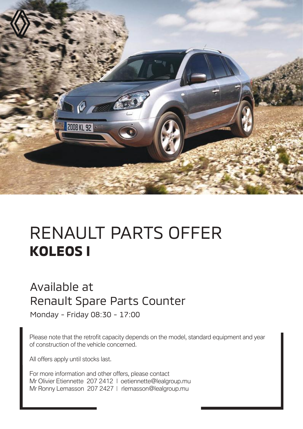

# RENAULT PARTS OFFER **KOLEOS I**

#### Available at Renault Spare Parts Counter

Monday - Friday 08:30 - 17:00

Please note that the retrofit capacity depends on the model, standard equipment and year of construction of the vehicle concerned.

All offers apply until stocks last.

For more information and other offers, please contact Mr Olivier Etiennette 207 2412 | oetiennette@lealgroup.mu Mr Ronny Lemasson 207 2427 | rlemasson@lealgroup.mu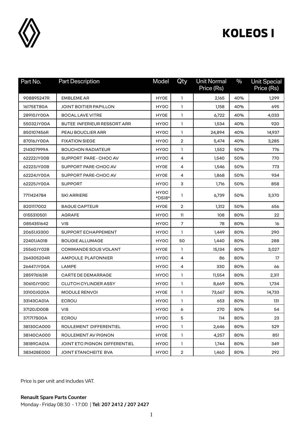

| Part No.   | <b>Part Description</b>            | Model             | Qty              | <b>Unit Normal</b><br>Price (Rs) | $\%$ | <b>Unit Special</b><br>Price (Rs) |
|------------|------------------------------------|-------------------|------------------|----------------------------------|------|-----------------------------------|
| 908895247R | <b>EMBLEME AR</b>                  | <b>HY0E</b>       | $\mathbf{1}$     | 2,165                            | 40%  | 1,299                             |
| 16175ET80A | JOINT BOITIER PAPILLON             | HY0C              | 1                | 1,158                            | 40%  | 695                               |
| 28910JY00A | <b>BOCAL LAVE VITRE</b>            | <b>HY0E</b>       | 1                | 6,722                            | 40%  | 4,033                             |
| 55032JY00A | <b>BUTEE INFERIEUR RESSORT ARR</b> | HY0C              | 1                | 1,534                            | 40%  | 920                               |
| 850107456R | PEAU BOUCLIER ARR                  | HY0C              | 1                | 24,894                           | 40%  | 14,937                            |
| 87016JY00A | <b>FIXATION SIEGE</b>              | HY <sub>0</sub> C | 2                | 5,474                            | 40%  | 3,285                             |
| 214307999A | <b>BOUCHON RADIATEUR</b>           | HY0C              | 1                | 1,552                            | 50%  | 776                               |
| 62222JY00B | SUPPORT PARE - CHOC AV             | HY0C              | 4                | 1,540                            | 50%  | 770                               |
| 62223JY00B | SUPPORT PARE-CHOC AV               | <b>HY0E</b>       | 4                | 1,546                            | 50%  | 773                               |
| 62224JY00A | SUPPORT PARE-CHOC AV               | <b>HY0E</b>       | 4                | 1,868                            | 50%  | 934                               |
| 62225JY00A | <b>SUPPORT</b>                     | HY <sub>0</sub> C | 3                | 1,716                            | 50%  | 858                               |
| 7711424784 | <b>SKI ARRIERE</b>                 | HY0C<br>*DS18*    | 1                | 6,739                            | 50%  | 3,370                             |
| 8201117002 | <b>BAGUE CAPTEUR</b>               | <b>HY0E</b>       | $\overline{2}$   | 1,312                            | 50%  | 656                               |
| 0155310501 | <b>AGRAFE</b>                      | HY <sub>0</sub> C | 11               | 108                              | 80%  | 22                                |
| 0854351642 | <b>VIS</b>                         | HY0C              | $\overline{7}$   | 78                               | 80%  | 16                                |
| 20651JG300 | SUPPORT ECHAPPEMENT                | HY0C              | $\mathbf{1}$     | 1,449                            | 80%  | 290                               |
| 22401JA01B | <b>BOUGIE ALLUMAGE</b>             | HY0C              | 50               | 1,440                            | 80%  | 288                               |
| 25560JY02B | <b>COMMANDE SOUS VOLANT</b>        | <b>HY0E</b>       | 1                | 15,134                           | 80%  | 3,027                             |
| 264305204R | <b>AMPOULE PLAFONNIER</b>          | HY0C              | 4                | 86                               | 80%  | 17                                |
| 26447JY00A | LAMPE                              | HY0C              | 4                | 330                              | 80%  | 66                                |
| 285976163R | <b>CARTE DE DEMARRAGE</b>          | <b>HYOC</b>       | 1                | 11,554                           | 80%  | 2,311                             |
| 30610JY00C | <b>CLUTCH CYLINDER ASSY</b>        | HY0C              | 1                | 8,669                            | 80%  | 1,734                             |
| 33100JG20A | <b>MODULE RENVOI</b>               | <b>HY0E</b>       | 1                | 73,667                           | 80%  | 14,733                            |
| 33143CA01A | <b>ECROU</b>                       | HY0C              | 1                | 653                              | 80%  | 131                               |
| 37120JD00B | <b>VIS</b>                         | HY0C              | 6                | 270                              | 80%  | 54                                |
| 371717S00A | <b>ECROU</b>                       | HY0C              | 5                | 114                              | 80%  | 23                                |
| 38130CA000 | ROULEMENT DIFFERENTIEL             | HY0C              | $\mathbf{1}$     | 2,646                            | 80%  | 529                               |
| 38140CA000 | ROULEMENT AV PIGNON                | <b>HY0E</b>       | 1                | 4,257                            | 80%  | 851                               |
| 38189CA01A | JOINT ETC PIGNON DIFFERENTIEL      | HY0C              | 1                | 1,744                            | 80%  | 349                               |
| 383428E000 | <b>JOINT ETANCHEITE BVA</b>        | HY0C              | $\boldsymbol{2}$ | 1,460                            | 80%  | 292                               |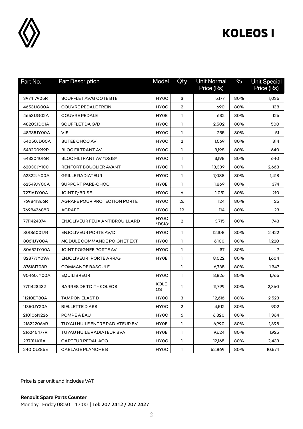

| Part No.   | <b>Part Description</b>        | Model          | Qty            | <b>Unit Normal</b><br>Price (Rs) | $\frac{0}{0}$ | <b>Unit Special</b><br>Price (Rs) |
|------------|--------------------------------|----------------|----------------|----------------------------------|---------------|-----------------------------------|
| 397417905R | SOUFFLET AV/G COTE BTE         | <b>HYOC</b>    | 3              | 5,177                            | 80%           | 1,035                             |
| 46531JG00A | <b>COUVRE PEDALE FREIN</b>     | HY0C           | $\overline{2}$ | 690                              | 80%           | 138                               |
| 46531JG02A | <b>COUVRE PEDALE</b>           | <b>HY0E</b>    | 1              | 632                              | 80%           | 126                               |
| 48203JD01A | SOUFFLET DA G/D                | HY0C           | $\mathbf{1}$   | 2,502                            | 80%           | 500                               |
| 48935JY00A | <b>VIS</b>                     | HY0C           | 1              | 255                              | 80%           | 51                                |
| 54050JD00A | <b>BUTEE CHOC AV</b>           | HY0C           | 2              | 1,569                            | 80%           | 314                               |
| 543200919R | <b>BLOC FILTRANT AV</b>        | HY0C           | 1              | 3,198                            | 80%           | 640                               |
| 543204016R | BLOC FILTRANT AV *DS18*        | HY0C           | 1              | 3,198                            | 80%           | 640                               |
| 62030JY100 | RENFORT BOUCLIER AVANT         | HY0C           | 1              | 13,339                           | 80%           | 2,668                             |
| 62322JY00A | <b>GRILLE RADIATEUR</b>        | HY0C           | $\mathbf{1}$   | 7,088                            | 80%           | 1,418                             |
| 62549JY00A | SUPPORT PARE-CHOC              | <b>HYOE</b>    | $\mathbf{1}$   | 1,869                            | 80%           | 374                               |
| 72716JY00A | <b>JOINT P/BRISE</b>           | HY0C           | 6              | 1,051                            | 80%           | 210                               |
| 769841366R | AGRAFE POUR PROTECTION PORTE   | HY0C           | 26             | 124                              | 80%           | 25                                |
| 769843688R | <b>AGRAFE</b>                  | HY0C           | 19             | 114                              | 80%           | 23                                |
| 7711424374 | ENJOLIVEUR FEUX ANTIBROUILLARD | HY0C<br>*DS18* | $\overline{2}$ | 3,715                            | 80%           | 743                               |
| 801860017R | ENJOLIVEUR PORTE AV/D          | HY0C           | 1              | 12,108                           | 80%           | 2,422                             |
| 80611JY00A | MODULE COMMANDE POIGNET EXT    | HY0C           | 1              | 6,100                            | 80%           | 1,220                             |
| 80652JY00A | JOINT POIGNEE PORTE AV         | HY0C           | $\mathbf{1}$   | 37                               | 80%           | $\overline{7}$                    |
| 82877JY09A | ENJOLIVEUR PORTE ARR/G         | <b>HY0E</b>    | $\mathbf{1}$   | 8,022                            | 80%           | 1,604                             |
| 876181708R | COMMANDE BASCULE               |                | 1              | 6,735                            | 80%           | 1,347                             |
| 90460JY00A | <b>EQUILIBREUR</b>             | HY0C           | 1              | 8,826                            | 80%           | 1,765                             |
| 7711423432 | <b>BARRES DE TOIT - KOLEOS</b> | KOLE-<br>OS    | 1              | 11,799                           | 80%           | 2,360                             |
| 11210ET80A | <b>TAMPON ELAST D</b>          | HY0C           | З              | 12,616                           | 80%           | 2,523                             |
| 11350JY20A | BIELLETTE D ASS                | <b>HY0C</b>    | 2              | 4,512                            | 80%           | 902                               |
| 210106N226 | POMPE A EAU                    | HY0C           | 6              | 6,820                            | 80%           | 1,364                             |
| 216222066R | TUYAU HUILE ENTRE RADIATEUR BV | <b>HYOE</b>    | $\mathbf{1}$   | 6,990                            | 80%           | 1,398                             |
| 216245477R | TUYAU HUILE RADIATEUR BVA      | <b>HYOE</b>    | $\mathbf{1}$   | 9,624                            | 80%           | 1,925                             |
| 23731JA11A | CAPTEUR PEDAL ACC              | HY0C           | $\mathbf{1}$   | 12,165                           | 80%           | 2,433                             |
| 24010JZ85E | <b>CABLAGE PLANCHE B</b>       | HY0C           | 1              | 52,869                           | 80%           | 10,574                            |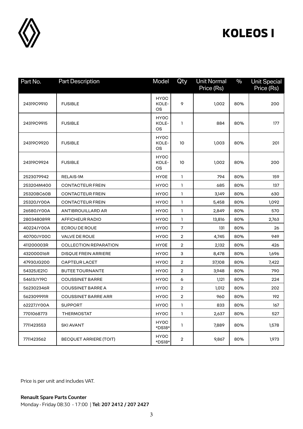

| Part No.   | <b>Part Description</b>       | Model               | Qty            | <b>Unit Normal</b><br>Price (Rs) | $\frac{0}{0}$ | <b>Unit Special</b><br>Price (Rs) |
|------------|-------------------------------|---------------------|----------------|----------------------------------|---------------|-----------------------------------|
| 24319C9910 | <b>FUSIBLE</b>                | HY0C<br>KOLE-<br>OS | 9              | 1,002                            | 80%           | 200                               |
| 24319C9915 | <b>FUSIBLE</b>                | HY0C<br>KOLE-<br>OS | 1              | 884                              | 80%           | 177                               |
| 24319C9920 | <b>FUSIBLE</b>                | HY0C<br>KOLE-<br>OS | 10             | 1,003                            | 80%           | 201                               |
| 24319C9924 | <b>FUSIBLE</b>                | HY0C<br>KOLE-<br>ОS | 10             | 1,002                            | 80%           | 200                               |
| 2523079942 | <b>RELAIS-1M</b>              | <b>HY0E</b>         | $\mathbf{1}$   | 794                              | 80%           | 159                               |
| 253204M400 | <b>CONTACTEUR FREIN</b>       | HY0C                | $\mathbf{1}$   | 685                              | 80%           | 137                               |
| 25320BC60B | <b>CONTACTEUR FREIN</b>       | HY0C                | 1              | 3,149                            | 80%           | 630                               |
| 25320JY00A | <b>CONTACTEUR FREIN</b>       | HY0C                | $\mathbf{1}$   | 5,458                            | 80%           | 1,092                             |
| 26580JY00A | ANTIBROUILLARD AR             | HY0C                | 1              | 2,849                            | 80%           | 570                               |
| 280348089R | AFFICHEUR RADIO               | HY0C                | $\mathbf{1}$   | 13,816                           | 80%           | 2,763                             |
| 40224JY00A | <b>ECROU DE ROUE</b>          | HY0C                | $\overline{7}$ | 131                              | 80%           | 26                                |
| 40700JY00C | <b>VALVE DE ROUE</b>          | HY0C                | $\overline{2}$ | 4,745                            | 80%           | 949                               |
| 411200003R | COLLECTION REPARATION         | <b>HY0E</b>         | $\overline{2}$ | 2,132                            | 80%           | 426                               |
| 432000016R | <b>DISQUE FREIN ARRIERE</b>   | HY0C                | 3              | 8,478                            | 80%           | 1,696                             |
| 47930JG200 | <b>CAPTEUR LACET</b>          | HY0C                | $\overline{2}$ | 37,108                           | 80%           | 7,422                             |
| 54325JE21C | <b>BUTEE TOURNANTE</b>        | HY0C                | $\overline{2}$ | 3,948                            | 80%           | 790                               |
| 54613JY19C | <b>COUSSINET BARRE</b>        | HY0C                | 6              | 1,121                            | 80%           | 224                               |
| 562302346R | <b>COUSSINET BARRE A</b>      | HY0C                | $\overline{2}$ | 1,012                            | 80%           | 202                               |
| 562309991R | COUSSINET BARRE ARR           | HY0C                | $\overline{2}$ | 960                              | 80%           | 192                               |
| 62227JY00A | <b>SUPPORT</b>                | HY0C                | 1              | 833                              | 80%           | 167                               |
| 7701068773 | <b>THERMOSTAT</b>             | HY0C                | $\mathbf{1}$   | 2,637                            | 80%           | 527                               |
| 7711423553 | SKI AVANT                     | HY0C<br>*DS18*      | $\mathbf{1}$   | 7,889                            | 80%           | 1,578                             |
| 7711423562 | <b>BECQUET ARRIERE (TOIT)</b> | HY0C<br>*DS18*      | $\overline{2}$ | 9,867                            | 80%           | 1,973                             |